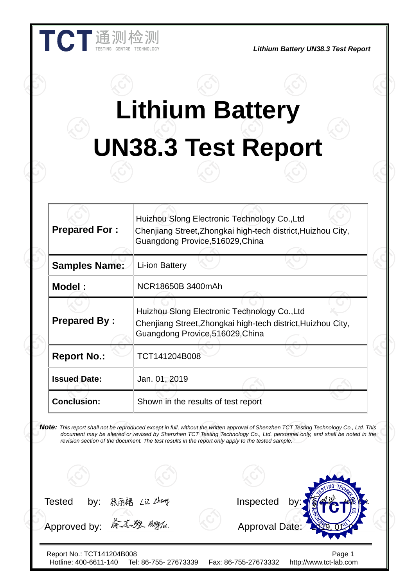|                      | <b>Lithium Battery</b>                                                                                                                                                                                                                                                                                                                                                     |  |
|----------------------|----------------------------------------------------------------------------------------------------------------------------------------------------------------------------------------------------------------------------------------------------------------------------------------------------------------------------------------------------------------------------|--|
|                      | <b>UN38.3 Test Report</b>                                                                                                                                                                                                                                                                                                                                                  |  |
| <b>Prepared For:</b> | Huizhou Slong Electronic Technology Co., Ltd<br>Chenjiang Street, Zhongkai high-tech district, Huizhou City,<br>Guangdong Provice, 516029, China                                                                                                                                                                                                                           |  |
| <b>Samples Name:</b> | Li-ion Battery                                                                                                                                                                                                                                                                                                                                                             |  |
| <b>Model:</b>        | NCR18650B 3400mAh                                                                                                                                                                                                                                                                                                                                                          |  |
| <b>Prepared By:</b>  | Huizhou Slong Electronic Technology Co., Ltd<br>Chenjiang Street, Zhongkai high-tech district, Huizhou City,<br>Guangdong Provice, 516029, China                                                                                                                                                                                                                           |  |
| <b>Report No.:</b>   | TCT141204B008                                                                                                                                                                                                                                                                                                                                                              |  |
| <b>Issued Date:</b>  | Jan. 01, 2019                                                                                                                                                                                                                                                                                                                                                              |  |
| <b>Conclusion:</b>   | Shown in the results of test report                                                                                                                                                                                                                                                                                                                                        |  |
|                      | Note: This report shall not be reproduced except in full, without the written approval of Shenzhen TCT Testing Technology Co., Ltd. This<br>document may be altered or revised by Shenzhen TCT Testing Technology Co., Ltd. personnel only, and shall be noted in the<br>revision section of the document. The test results in the report only apply to the tested sample. |  |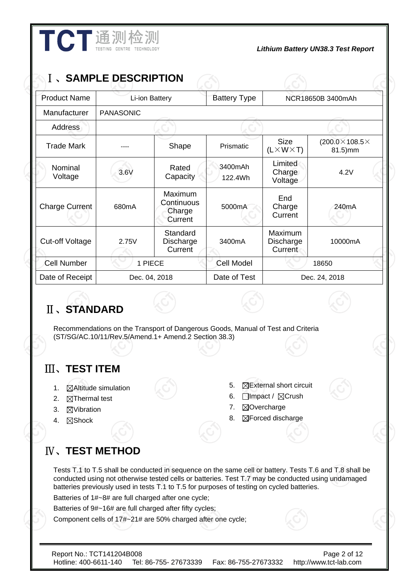| <b>Product Name</b>    | <b>I 、SAMPLE DESCRIPTION</b> | Li-ion Battery                             | <b>Battery Type</b> |                                        | NCR18650B 3400mAh                         |
|------------------------|------------------------------|--------------------------------------------|---------------------|----------------------------------------|-------------------------------------------|
| Manufacturer           | <b>PANASONIC</b>             |                                            |                     |                                        |                                           |
| Address                |                              |                                            |                     |                                        |                                           |
| <b>Trade Mark</b>      |                              | Shape                                      | Prismatic           | <b>Size</b><br>$(L \times W \times T)$ | (200.0 $\times$ 108.5 $\times$<br>81.5)mm |
| Nominal<br>Voltage     | 3.6V                         | Rated<br>Capacity                          | 3400mAh<br>122.4Wh  | Limited<br>Charge<br>Voltage           | 4.2V                                      |
| <b>Charge Current</b>  | 680 <sub>m</sub> A           | Maximum<br>Continuous<br>Charge<br>Current | 5000mA              | End<br>Charge<br>Current               | 240 <sub>m</sub> A                        |
| <b>Cut-off Voltage</b> | 2.75V                        | Standard<br>Discharge<br>Current           | 3400mA              | Maximum<br>Discharge<br>Current        | 10000mA                                   |
| <b>Cell Number</b>     | 1 PIECE                      |                                            | <b>Cell Model</b>   | 18650                                  |                                           |
| Date of Receipt        |                              | Dec. 04, 2018                              | Date of Test        |                                        | Dec. 24, 2018                             |

**THE THE TECHNOLOGY PROPERTY UN38.3 Test Report** 

# Ⅱ、**STANDARD**

Recommendations on the Transport of Dangerous Goods, Manual of Test and Criteria (ST/SG/AC.10/11/Rev.5/Amend.1+ Amend.2 Section 38.3)

# Ⅲ、**TEST ITEM**

- 1. **MAltitude simulation**
- 2.  $\boxtimes$ Thermal test
- 3. **NVibration**
- 4. ⊠Shock
- 5. **NExternal short circuit**
- 6. **□Impact / ⊠Crush**
- 7. **ØOvercharge**
- 8. **SForced discharge**

# Ⅳ、**TEST METHOD**

Tests T.1 to T.5 shall be conducted in sequence on the same cell or battery. Tests T.6 and T.8 shall be conducted using not otherwise tested cells or batteries. Test T.7 may be conducted using undamaged batteries previously used in tests T.1 to T.5 for purposes of testing on cycled batteries. Batteries of 1#~8# are full charged after one cycle;

Batteries of 9#~16# are full charged after fifty cycles;

Component cells of 17#~21# are 50% charged after one cycle;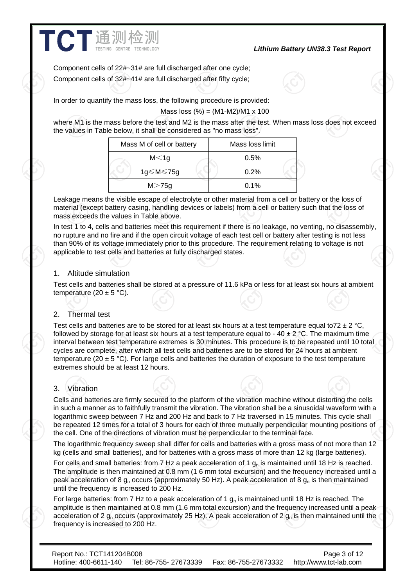#### *Lithium Battery UN38.3 Test Report*

Component cells of 22#~31# are full discharged after one cycle; Component cells of 32#~41# are full discharged after fifty cycle;

In order to quantify the mass loss, the following procedure is provided:

Mass loss  $%$  = (M1-M2)/M1 x 100

where M1 is the mass before the test and M2 is the mass after the test. When mass loss does not exceed the values in Table below, it shall be considered as "no mass loss".

| Mass M of cell or battery | Mass loss limit |
|---------------------------|-----------------|
| M < 1g                    | 0.5%            |
| $1g \leq M \leq 75g$      | $0.2\%$         |
| M > 75g                   | $0.1\%$         |

Leakage means the visible escape of electrolyte or other material from a cell or battery or the loss of material (except battery casing, handling devices or labels) from a cell or battery such that the loss of mass exceeds the values in Table above.

In test 1 to 4, cells and batteries meet this requirement if there is no leakage, no venting, no disassembly, no rupture and no fire and if the open circuit voltage of each test cell or battery after testing is not less than 90% of its voltage immediately prior to this procedure. The requirement relating to voltage is not applicable to test cells and batteries at fully discharged states.

#### 1. Altitude simulation

**TCT** 通测检测

Test cells and batteries shall be stored at a pressure of 11.6 kPa or less for at least six hours at ambient temperature  $(20 \pm 5 \degree C)$ .

#### 2. Thermal test

Test cells and batteries are to be stored for at least six hours at a test temperature equal to  $72 \pm 2$  °C, followed by storage for at least six hours at a test temperature equal to -  $40 \pm 2$  °C. The maximum time interval between test temperature extremes is 30 minutes. This procedure is to be repeated until 10 total cycles are complete, after which all test cells and batteries are to be stored for 24 hours at ambient temperature (20  $\pm$  5 °C). For large cells and batteries the duration of exposure to the test temperature extremes should be at least 12 hours.

# 3. Vibration

Cells and batteries are firmly secured to the platform of the vibration machine without distorting the cells in such a manner as to faithfully transmit the vibration. The vibration shall be a sinusoidal waveform with a logarithmic sweep between 7 Hz and 200 Hz and back to 7 Hz traversed in 15 minutes. This cycle shall be repeated 12 times for a total of 3 hours for each of three mutually perpendicular mounting positions of the cell. One of the directions of vibration must be perpendicular to the terminal face.

The logarithmic frequency sweep shall differ for cells and batteries with a gross mass of not more than 12 kg (cells and small batteries), and for batteries with a gross mass of more than 12 kg (large batteries).

For cells and small batteries: from 7 Hz a peak acceleration of 1  $q<sub>n</sub>$  is maintained until 18 Hz is reached. The amplitude is then maintained at 0.8 mm (1 6 mm total excursion) and the frequency increased until a peak acceleration of 8  $g_n$  occurs (approximately 50 Hz). A peak acceleration of 8  $g_n$  is then maintained until the frequency is increased to 200 Hz.

For large batteries: from 7 Hz to a peak acceleration of 1  $g<sub>n</sub>$  is maintained until 18 Hz is reached. The amplitude is then maintained at 0.8 mm (1.6 mm total excursion) and the frequency increased until a peak acceleration of 2  $g_n$  occurs (approximately 25 Hz). A peak acceleration of 2  $g_n$  is then maintained until the frequency is increased to 200 Hz.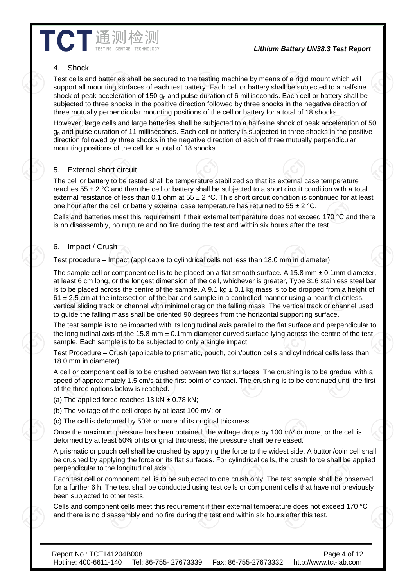#### *Lithium Battery UN38.3 Test Report*

## 4. Shock

Test cells and batteries shall be secured to the testing machine by means of a rigid mount which will support all mounting surfaces of each test battery. Each cell or battery shall be subjected to a halfsine shock of peak acceleration of 150  $q_n$  and pulse duration of 6 milliseconds. Each cell or battery shall be subjected to three shocks in the positive direction followed by three shocks in the negative direction of three mutually perpendicular mounting positions of the cell or battery for a total of 18 shocks.

However, large cells and large batteries shall be subjected to a half-sine shock of peak acceleration of 50  $g<sub>n</sub>$  and pulse duration of 11 milliseconds. Each cell or battery is subjected to three shocks in the positive direction followed by three shocks in the negative direction of each of three mutually perpendicular mounting positions of the cell for a total of 18 shocks.

# **External short circuit**

**CT通测检** 

The cell or battery to be tested shall be temperature stabilized so that its external case temperature reaches  $55 \pm 2$  °C and then the cell or battery shall be subjected to a short circuit condition with a total external resistance of less than 0.1 ohm at  $55 \pm 2$  °C. This short circuit condition is continued for at least one hour after the cell or battery external case temperature has returned to  $55 \pm 2$  °C.

Cells and batteries meet this requirement if their external temperature does not exceed 170 °C and there is no disassembly, no rupture and no fire during the test and within six hours after the test.

## 6. Impact / Crush

Test procedure – Impact (applicable to cylindrical cells not less than 18.0 mm in diameter)

The sample cell or component cell is to be placed on a flat smooth surface. A 15.8 mm  $\pm$  0.1mm diameter, at least 6 cm long, or the longest dimension of the cell, whichever is greater, Type 316 stainless steel bar is to be placed across the centre of the sample. A 9.1 kg  $\pm$  0.1 kg mass is to be dropped from a height of  $61 \pm 2.5$  cm at the intersection of the bar and sample in a controlled manner using a near frictionless, vertical sliding track or channel with minimal drag on the falling mass. The vertical track or channel used to guide the falling mass shall be oriented 90 degrees from the horizontal supporting surface.

The test sample is to be impacted with its longitudinal axis parallel to the flat surface and perpendicular to the longitudinal axis of the 15.8 mm  $\pm$  0.1mm diameter curved surface lying across the centre of the test sample. Each sample is to be subjected to only a single impact.

Test Procedure – Crush (applicable to prismatic, pouch, coin/button cells and cylindrical cells less than 18.0 mm in diameter)

A cell or component cell is to be crushed between two flat surfaces. The crushing is to be gradual with a speed of approximately 1.5 cm/s at the first point of contact. The crushing is to be continued until the first of the three options below is reached.

(a) The applied force reaches 13 kN  $\pm$  0.78 kN;

(b) The voltage of the cell drops by at least 100 mV; or

(c) The cell is deformed by 50% or more of its original thickness.

Once the maximum pressure has been obtained, the voltage drops by 100 mV or more, or the cell is deformed by at least 50% of its original thickness, the pressure shall be released.

A prismatic or pouch cell shall be crushed by applying the force to the widest side. A button/coin cell shall be crushed by applying the force on its flat surfaces. For cylindrical cells, the crush force shall be applied perpendicular to the longitudinal axis.

Each test cell or component cell is to be subjected to one crush only. The test sample shall be observed for a further 6 h. The test shall be conducted using test cells or component cells that have not previously been subjected to other tests.

Cells and component cells meet this requirement if their external temperature does not exceed 170 °C and there is no disassembly and no fire during the test and within six hours after this test.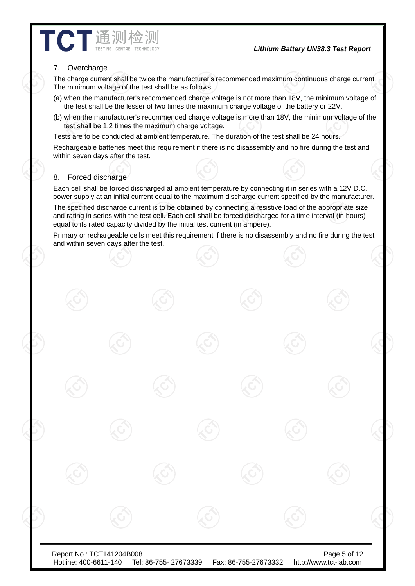#### *Lithium Battery UN38.3 Test Report*

#### 7. Overcharge

**TCT** 通测检测

The charge current shall be twice the manufacturer's recommended maximum continuous charge current. The minimum voltage of the test shall be as follows:

- (a) when the manufacturer's recommended charge voltage is not more than 18V, the minimum voltage of the test shall be the lesser of two times the maximum charge voltage of the battery or 22V.
- (b) when the manufacturer's recommended charge voltage is more than 18V, the minimum voltage of the test shall be 1.2 times the maximum charge voltage.

Tests are to be conducted at ambient temperature. The duration of the test shall be 24 hours.

Rechargeable batteries meet this requirement if there is no disassembly and no fire during the test and within seven days after the test.

#### 8. Forced discharge

Each cell shall be forced discharged at ambient temperature by connecting it in series with a 12V D.C. power supply at an initial current equal to the maximum discharge current specified by the manufacturer.

The specified discharge current is to be obtained by connecting a resistive load of the appropriate size and rating in series with the test cell. Each cell shall be forced discharged for a time interval (in hours) equal to its rated capacity divided by the initial test current (in ampere).

Primary or rechargeable cells meet this requirement if there is no disassembly and no fire during the test and within seven days after the test.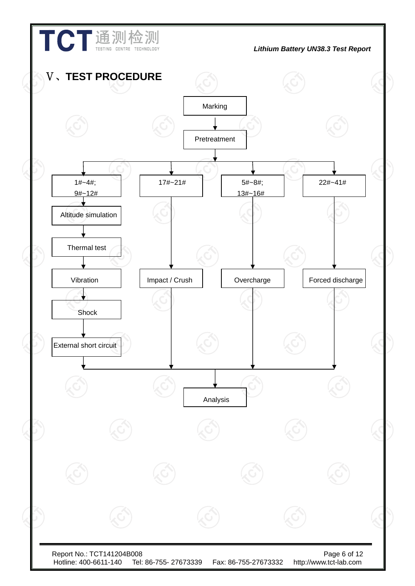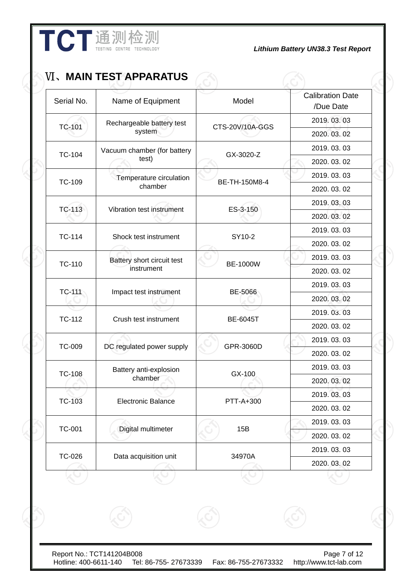|               | TCT通测检测                       |                 | <b>Lithium Battery UN38.3 Test Report</b> |
|---------------|-------------------------------|-----------------|-------------------------------------------|
|               | <b>VI、MAIN TEST APPARATUS</b> |                 |                                           |
| Serial No.    | Name of Equipment             | Model           | <b>Calibration Date</b><br>/Due Date      |
| <b>TC-101</b> | Rechargeable battery test     | CTS-20V/10A-GGS | 2019.03.03                                |
|               | $\sim$ $\sim$ $\sim$          |                 |                                           |

| <b>Natile Of Equipment</b>  | <b>INIONEI</b>                                                                                                                                                                                                                       | /Due Date                                                                                                                                                                 |
|-----------------------------|--------------------------------------------------------------------------------------------------------------------------------------------------------------------------------------------------------------------------------------|---------------------------------------------------------------------------------------------------------------------------------------------------------------------------|
| Rechargeable battery test   |                                                                                                                                                                                                                                      | 2019.03.03                                                                                                                                                                |
| system                      |                                                                                                                                                                                                                                      | 2020.03.02                                                                                                                                                                |
| Vacuum chamber (for battery |                                                                                                                                                                                                                                      | 2019.03.03                                                                                                                                                                |
| test)                       |                                                                                                                                                                                                                                      | 2020.03.02                                                                                                                                                                |
| Temperature circulation     |                                                                                                                                                                                                                                      | 2019.03.03                                                                                                                                                                |
|                             |                                                                                                                                                                                                                                      | 2020.03.02                                                                                                                                                                |
|                             |                                                                                                                                                                                                                                      | 2019.03.03                                                                                                                                                                |
|                             |                                                                                                                                                                                                                                      | 2020.03.02                                                                                                                                                                |
|                             |                                                                                                                                                                                                                                      | 2019.03.03                                                                                                                                                                |
|                             |                                                                                                                                                                                                                                      | 2020.03.02                                                                                                                                                                |
| Battery short circuit test  |                                                                                                                                                                                                                                      | 2019.03.03                                                                                                                                                                |
| instrument                  |                                                                                                                                                                                                                                      | 2020.03.02                                                                                                                                                                |
|                             |                                                                                                                                                                                                                                      | 2019.03.03                                                                                                                                                                |
|                             |                                                                                                                                                                                                                                      | 2020.03.02                                                                                                                                                                |
|                             |                                                                                                                                                                                                                                      | 2019.03.03                                                                                                                                                                |
|                             |                                                                                                                                                                                                                                      | 2020.03.02                                                                                                                                                                |
|                             |                                                                                                                                                                                                                                      | 2019.03.03                                                                                                                                                                |
|                             |                                                                                                                                                                                                                                      | 2020.03.02                                                                                                                                                                |
| Battery anti-explosion      |                                                                                                                                                                                                                                      | 2019.03.03                                                                                                                                                                |
|                             |                                                                                                                                                                                                                                      | 2020.03.02                                                                                                                                                                |
|                             |                                                                                                                                                                                                                                      | 2019.03.03                                                                                                                                                                |
|                             |                                                                                                                                                                                                                                      | 2020.03.02                                                                                                                                                                |
|                             |                                                                                                                                                                                                                                      | 2019.03.03                                                                                                                                                                |
|                             |                                                                                                                                                                                                                                      | 2020.03.02                                                                                                                                                                |
|                             |                                                                                                                                                                                                                                      | 2019.03.03                                                                                                                                                                |
|                             |                                                                                                                                                                                                                                      | 2020.03.02                                                                                                                                                                |
|                             | chamber<br>Vibration test instrument<br>Shock test instrument<br>Impact test instrument<br>Crush test instrument<br>DC regulated power supply<br>chamber<br><b>Electronic Balance</b><br>Digital multimeter<br>Data acquisition unit | CTS-20V/10A-GGS<br>GX-3020-Z<br>BE-TH-150M8-4<br>ES-3-150<br>SY10-2<br><b>BE-1000W</b><br>BE-5066<br><b>BE-6045T</b><br>GPR-3060D<br>GX-100<br>PTT-A+300<br>15B<br>34970A |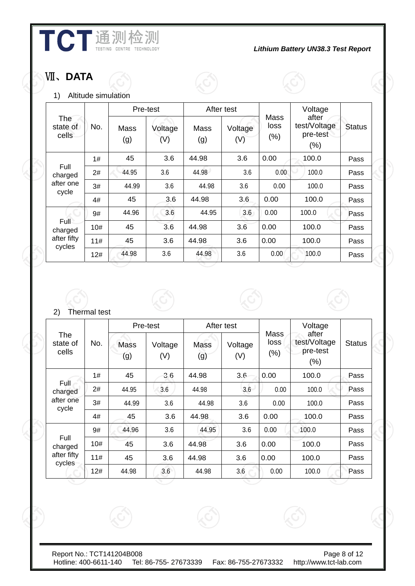

# Ⅶ、**DATA**

1) Altitude simulation

|                                        |     |             | Pre-test       |             | After test     |                             | Voltage                                   |               |
|----------------------------------------|-----|-------------|----------------|-------------|----------------|-----------------------------|-------------------------------------------|---------------|
| <b>The</b><br>No.<br>state of<br>cells |     | Mass<br>(g) | Voltage<br>(V) | Mass<br>(g) | Voltage<br>(V) | <b>Mass</b><br>loss<br>(% ) | after<br>test/Voltage<br>pre-test<br>(% ) | <b>Status</b> |
|                                        | 1#  | 45          | 3.6            | 44.98       | 3.6            | 0.00                        | 100.0                                     | Pass          |
| Full<br>charged                        | 2#  | 44.95       | 3.6            | 44.98       | 3.6            | 0.00                        | 100.0                                     | Pass          |
| after one<br>cycle                     | 3#  | 44.99       | 3.6            | 44.98       | 3.6            | 0.00                        | 100.0                                     | Pass          |
|                                        | 4#  | 45          | 3.6            | 44.98       | 3.6            | 0.00                        | 100.0                                     | Pass          |
|                                        | 9#  | 44.96       | 3.6            | 44.95       | 3.6            | 0.00                        | 100.0                                     | Pass          |
| Full<br>charged                        | 10# | 45          | 3.6            | 44.98       | 3.6            | 0.00                        | 100.0                                     | Pass          |
| after fifty                            | 11# | 45          | 3.6            | 44.98       | 3.6            | 0.00                        | 100.0                                     | Pass          |
| cycles                                 | 12# | 44.98       | 3.6            | 44.98       | 3.6            | 0.00                        | 100.0                                     | Pass          |

## 2) Thermal test

|                                 |     |                    | Pre-test            |                    | After test     |                         | Voltage                                   |               |
|---------------------------------|-----|--------------------|---------------------|--------------------|----------------|-------------------------|-------------------------------------------|---------------|
| <b>The</b><br>state of<br>cells | No. | <b>Mass</b><br>(g) | Voltage<br>$(\vee)$ | <b>Mass</b><br>(g) | Voltage<br>(V) | Mass<br>loss<br>$(\% )$ | after<br>test/Voltage<br>pre-test<br>(% ) | <b>Status</b> |
|                                 | 1#  | 45                 | 36                  | 44.98              | 3.6            | 0.00                    | 100.0                                     | Pass          |
| Full<br>charged                 | 2#  | 44.95              | 3.6                 | 44.98              | 3.6            | 0.00                    | 100.0                                     | Pass          |
| after one<br>cycle              | 3#  | 44.99              | 3.6                 | 44.98              | 3.6            | 0.00                    | 100.0                                     | Pass          |
|                                 | 4#  | 45                 | 3.6                 | 44.98              | 3.6            | 0.00                    | 100.0                                     | Pass          |
|                                 | 9#  | 44.96              | 3.6                 | 44.95              | 3.6            | 0.00                    | 100.0                                     | Pass          |
| Full<br>charged                 | 10# | 45                 | 3.6                 | 44.98              | 3.6            | 0.00                    | 100.0                                     | Pass          |
| after fifty<br>cycles           | 11# | 45                 | 3.6                 | 44.98              | 3.6            | 0.00                    | 100.0                                     | Pass          |
|                                 | 12# | 44.98              | 3.6                 | 44.98              | 3.6            | 0.00                    | 100.0                                     | Pass          |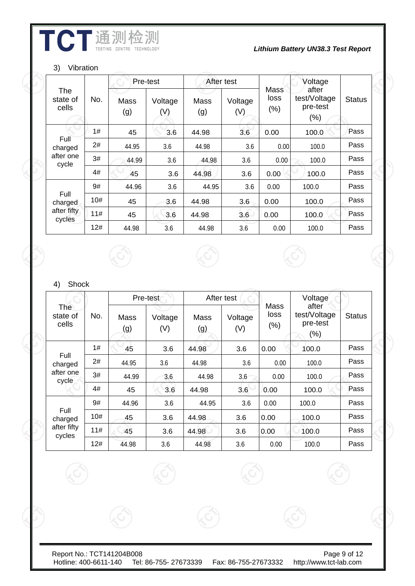# **THE WE WE THE TECHNOLOGY**<br>*Lithium Battery UN38.3 Test Report*

#### 3) Vibration

|                          |     |                    | Pre-test       | After test  |                |                     | Voltage                                      |               |
|--------------------------|-----|--------------------|----------------|-------------|----------------|---------------------|----------------------------------------------|---------------|
| The<br>state of<br>cells | No. | <b>Mass</b><br>(g) | Voltage<br>(V) | Mass<br>(g) | Voltage<br>(V) | Mass<br>loss<br>(%) | after<br>test/Voltage<br>pre-test<br>$(\% )$ | <b>Status</b> |
|                          | 1#  | 45                 | 3.6            | 44.98       | 3.6            | 0.00                | 100.0                                        | Pass          |
| Full<br>charged          | 2#  | 44.95              | 3.6            | 44.98       | 3.6            | 0.00                | 100.0                                        | Pass          |
| after one<br>cycle       | 3#  | 44.99              | 3.6            | 44.98       | 3.6            | 0.00                | 100.0                                        | Pass          |
|                          | 4#  | 45                 | 3.6            | 44.98       | 3.6            | 0.00                | 100.0                                        | Pass          |
|                          | 9#  | 44.96              | 3.6            | 44.95       | 3.6            | 0.00                | 100.0                                        | Pass          |
| Full<br>charged          | 10# | 45                 | 3.6            | 44.98       | 3.6            | 0.00                | 100.0                                        | Pass          |
| after fifty<br>cycles    | 11# | 45                 | 3.6            | 44.98       | 3.6            | 0.00                | 100.0                                        | Pass          |
|                          | 12# | 44.98              | 3.6            | 44.98       | 3.6            | 0.00                | 100.0                                        | Pass          |

## 4) Shock

|                                 |     |             | Pre-test       | After test  |                |                      | Voltage                                     |               |
|---------------------------------|-----|-------------|----------------|-------------|----------------|----------------------|---------------------------------------------|---------------|
| <b>The</b><br>state of<br>cells | No. | Mass<br>(g) | Voltage<br>(V) | Mass<br>(g) | Voltage<br>(V) | Mass<br>loss<br>(% ) | after<br>test/Voltage<br>pre-test<br>$(\%)$ | <b>Status</b> |
|                                 | 1#  | 45          | 3.6            | 44.98       | 3.6            | 0.00                 | 100.0                                       | Pass          |
| Full<br>charged                 | 2#  | 44.95       | 3.6            | 44.98       | 3.6            | 0.00                 | 100.0                                       | Pass          |
| after one<br>cycle              | 3#  | 44.99       | 3.6            | 44.98       | 3.6            | 0.00                 | 100.0                                       | Pass          |
|                                 | 4#  | 45          | 3.6            | 44.98       | 3.6            | 0.00                 | 100.0                                       | Pass          |
|                                 | 9#  | 44.96       | 3.6            | 44.95       | 3.6            | 0.00                 | 100.0                                       | Pass          |
| Full<br>charged                 | 10# | 45          | 3.6            | 44.98       | 3.6            | 0.00                 | 100.0                                       | Pass          |
| after fifty<br>cycles           | 11# | 45          | 3.6            | 44.98       | 3.6            | 0.00                 | 100.0                                       | Pass          |
|                                 | 12# | 44.98       | 3.6            | 44.98       | 3.6            | 0.00                 | 100.0                                       | Pass          |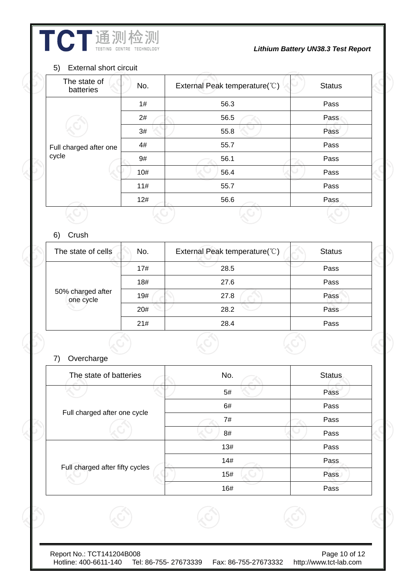**THE WE WE THE TREAD TO A LITTLE SERVICE AS A REPORT OF REPORT OF REPORT OF REPORT AND LITTLE TECHNOLOGY CONTRE** 

## 5) External short circuit

| The state of<br>batteries | No. | External Peak temperature( $\degree$ C) | <b>Status</b> |
|---------------------------|-----|-----------------------------------------|---------------|
|                           | 1#  | 56.3                                    | Pass          |
|                           | 2#  | 56.5                                    | Pass          |
|                           | 3#  | 55.8                                    | Pass          |
| Full charged after one    | 4#  | 55.7                                    | Pass          |
| cycle                     | 9#  | 56.1                                    | Pass          |
|                           | 10# | 56.4                                    | Pass          |
|                           | 11# | 55.7                                    | Pass          |
|                           | 12# | 56.6                                    | Pass          |
|                           |     |                                         |               |

# 6) Crush

| The state of cells             | No. | External Peak temperature(°C) | <b>Status</b> |
|--------------------------------|-----|-------------------------------|---------------|
|                                | 17# | 28.5                          | Pass          |
|                                | 18# | 27.6                          | Pass          |
| 50% charged after<br>one cycle | 19# | 27.8                          | Pass          |
|                                | 20# | 28.2                          | Pass          |
|                                | 21# | 28.4                          | Pass          |

# 7) Overcharge

| The state of batteries          | No. | <b>Status</b> |
|---------------------------------|-----|---------------|
|                                 | 5#  | Pass          |
|                                 | 6#  | Pass          |
| Full charged after one cycle    | 7#  | Pass          |
|                                 | 8#  | Pass          |
|                                 | 13# | Pass          |
|                                 | 14# | Pass          |
| Full charged after fifty cycles | 15# | Pass          |
|                                 | 16# | Pass          |
|                                 |     |               |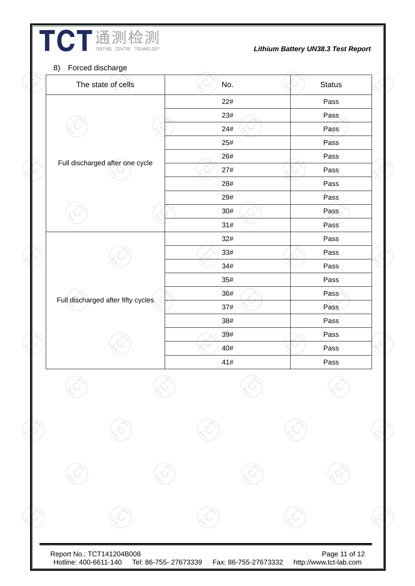| The state of cells                 | No. | <b>Status</b> |
|------------------------------------|-----|---------------|
|                                    | 22# | Pass          |
|                                    | 23# | Pass          |
|                                    | 24# | Pass          |
|                                    | 25# | Pass          |
|                                    | 26# | Pass          |
| Full discharged after one cycle    | 27# | Pass          |
|                                    | 28# | Pass          |
|                                    | 29# | Pass          |
|                                    | 30# | Pass          |
|                                    | 31# | Pass          |
|                                    | 32# | Pass          |
|                                    | 33# | Pass          |
|                                    | 34# | Pass          |
|                                    | 35# | Pass          |
| Full discharged after fifty cycles | 36# | Pass          |
|                                    | 37# | Pass          |
|                                    | 38# | Pass          |
|                                    | 39# | Pass          |
|                                    | 40# | Pass          |
|                                    | 41# | Pass          |
|                                    |     |               |
|                                    |     |               |
|                                    |     |               |
|                                    |     |               |